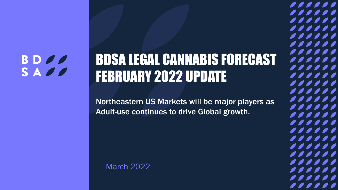### **BDOO** SADO

# BDSA LEGAL CANNABIS FORECAST FEBRUARY 2022 UPDATE

Northeastern US Markets will be major players as Adult-use continues to drive Global growth.

1

,,,,,,

,,,,,,

,,,,,,

,,,,,,

,,,,,,

,,,,,,

,,,,,,

,,,,,,

,,,,,,

,,,,,,

 $\frac{1}{2}$ 

,,,,,,

,,,,,,

,,,,,,

,,,,,,

,,,,,,

,,,,,,

,,,,,,

,,,,,,

,,,,,,

,,,,,,

,,,,,,

 $\bullet$   $\bullet$ 

,,,,

### March 2022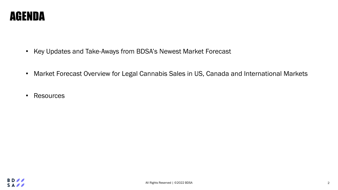

- Key Updates and Take-Aways from BDSA's Newest Market Forecast
- Market Forecast Overview for Legal Cannabis Sales in US, Canada and International Markets
- Resources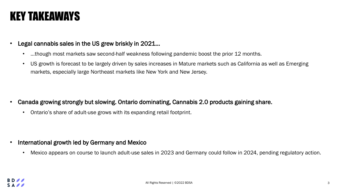### KEY TAKEAWAYS

#### Legal cannabis sales in the US grew briskly in 2021...

- ...though most markets saw second-half weakness following pandemic boost the prior 12 months.
- US growth is forecast to be largely driven by sales increases in Mature markets such as California as well as Emerging markets, especially large Northeast markets like New York and New Jersey.

- Canada growing strongly but slowing. Ontario dominating, Cannabis 2.0 products gaining share.
	- Ontario's share of adult-use grows with its expanding retail footprint.

- International growth led by Germany and Mexico
	- Mexico appears on course to launch adult-use sales in 2023 and Germany could follow in 2024, pending regulatory action.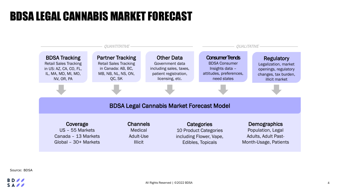### BDSA LEGAL CANNABIS MARKET FORECAST



Source: BDSA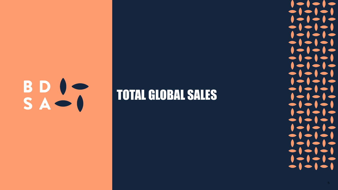

## TOTAL GLOBAL SALES



 $\bullet$   $\bullet$ 

 $\bullet$   $\bullet$ 

 $\bullet$   $\bullet$ 

 $\bullet$ 

 $\bullet$  (

 $\bullet$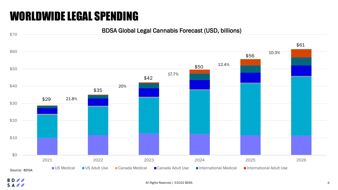### WORLDWIDE LEGAL SPENDING

#### BDSA Global Legal Cannabis Forecast (USD, billions)



**BD** SAPP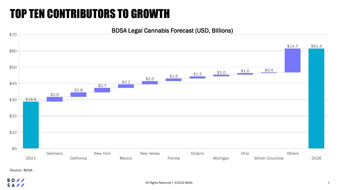### TOP TEN CONTRIBUTORS TO GROWTH



Source: BDSA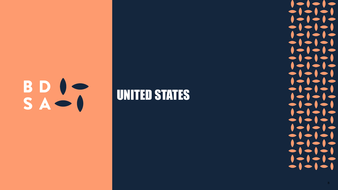

### UNITED STATES

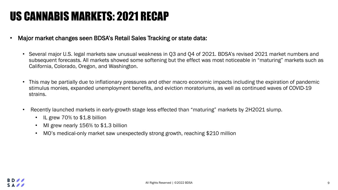### US CANNABIS MARKETS: 2021 RECAP

- Major market changes seen BDSA's Retail Sales Tracking or state data:
	- Several major U.S. legal markets saw unusual weakness in Q3 and Q4 of 2021. BDSA's revised 2021 market numbers and subsequent forecasts. All markets showed some softening but the effect was most noticeable in "maturing" markets such as California, Colorado, Oregon, and Washington.
	- This may be partially due to inflationary pressures and other macro economic impacts including the expiration of pandemic stimulus monies, expanded unemployment benefits, and eviction moratoriums, as well as continued waves of COVID-19 strains.
	- Recently launched markets in early-growth stage less effected than "maturing" markets by 2H2021 slump.
		- IL grew 70% to \$1.8 billion
		- MI grew nearly 156% to \$1.3 billion
		- MO's medical-only market saw unexpectedly strong growth, reaching \$210 million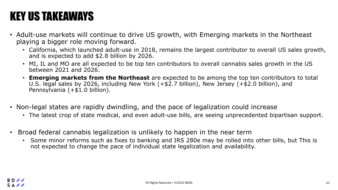### KEY US TAKEAWAYS

- Adult-use markets will continue to drive US growth, with Emerging markets in the Northeast playing a bigger role moving forward.
	- California, which launched adult-use in 2018, remains the largest contributor to overall US sales growth, and is expected to add \$2.8 billion by 2026.
	- MI, IL and MO are all expected to be top ten contributors to overall cannabis sales growth in the US between 2021 and 2026.
	- **Emerging markets from the Northeast** are expected to be among the top ten contributors to total U.S. legal sales by 2026, including New York (+\$2.7 billion), New Jersey (+\$2.0 billion), and Pennsylvania (+\$1.0 billion).
- Non-legal states are rapidly dwindling, and the pace of legalization could increase
	- The latest crop of state medical, and even adult-use bills, are seeing unprecedented bipartisan support.
- Broad federal cannabis legalization is unlikely to happen in the near term
	- Some minor reforms such as fixes to banking and IRS 280e may be rolled into other bills, but This is not expected to change the pace of individual state legalization and availability.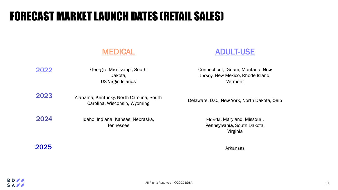### FORECAST MARKET LAUNCH DATES (RETAIL SALES)

#### MEDICAL ADULT-USE

| 2022 | Georgia, Mississippi, South<br>Dakota.<br>US Virgin Islands              | Connecticut, Guam, Montana, New<br>Jersey, New Mexico, Rhode Island,<br>Vermont |
|------|--------------------------------------------------------------------------|---------------------------------------------------------------------------------|
| 2023 | Alabama, Kentucky, North Carolina, South<br>Carolina, Wisconsin, Wyoming | Delaware, D.C., New York, North Dakota, Ohio                                    |
| 2024 | Idaho, Indiana, Kansas, Nebraska,<br><b>Tennessee</b>                    | Florida, Maryland, Missouri,<br>Pennsylvania, South Dakota,<br>Virginia         |

2025

Arkansas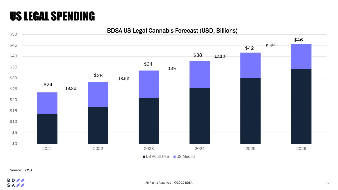### US LEGAL SPENDING

BDSA US Legal Cannabis Forecast (USD, Billions)



Source: BDSA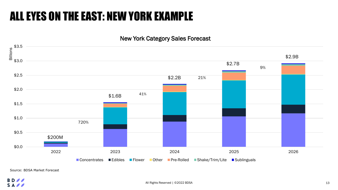### ALL EYES ON THE EAST: NEW YORK EXAMPLE

#### New York Category Sales Forecast



Source: BDSA Market Forecast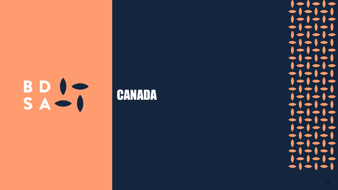

### CANADA

14

 $\bullet\bullet\bullet\bullet$ 

 $\bullet$ 

 $\bullet\bullet\bullet\bullet$ 

 $\bullet\bullet\bullet\bullet\bullet$ 

 $\bullet\bullet\bullet\bullet$ 

 $\bullet$   $\bullet$   $\bullet$   $\bullet$ 

 $\bullet\bullet\bullet\bullet\bullet$ 

 $\bullet\bullet\bullet\bullet\bullet$ 

 $\bullet\bullet\bullet\bullet\bullet$ 

 $\bullet$   $\bullet$   $\bullet$   $\bullet$   $\bullet$ 

 $\bullet\bullet\bullet\bullet$ 

 $\bullet\bullet\bullet\bullet$ 

 $\bullet\bullet\bullet\bullet$ 

 $\bullet\bullet\bullet\bullet$ 

 $\bullet\bullet\bullet\bullet$ 

 $\bullet\bullet\bullet\bullet$ 

 $\bullet\bullet\bullet\bullet$ 

 $\bullet$   $\bullet$   $\bullet$   $\bullet$ 

 $\bullet\bullet\bullet\bullet$ 

 $\bullet\bullet\bullet\bullet\bullet$ 

 $\bullet\bullet\bullet\bullet\bullet$ 

 $\bullet\bullet\bullet\bullet\bullet$ 

 $\bullet$  (

 $\bullet$  (

 $\bullet$  (

 $\bullet$ 

 $\bullet$ 

 $\bullet$ 

 $\bullet$ 

 $\bullet$  (

 $\bullet \bullet$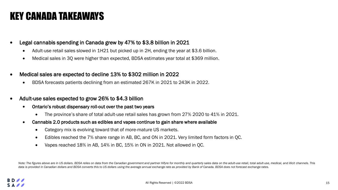### KEY CANADA TAKEAWAYS

- Legal cannabis spending in Canada grew by 47% to \$3.8 billion in 2021
	- Adult-use retail sales slowed in 1H21 but picked up in 2H, ending the year at \$3.6 billion.
	- Medical sales in 3Q were higher than expected, BDSA estimates year total at \$369 million.
- Medical sales are expected to decline 13% to \$302 million in 2022
	- BDSA forecasts patients declining from an estimated 267K in 2021 to 243K in 2022.
- Adult-use sales expected to grow 26% to \$4.3 billion
	- Ontario's robust dispensary roll-out over the past two years
		- The province's share of total adult-use retail sales has grown from 27% 2020 to 41% in 2021.
	- Cannabis 2.0 products such as edibles and vapes continue to gain share where available
		- Category mix is evolving toward that of more-mature US markets.
		- Edibles reached the 7% share range in AB, BC, and ON in 2021. Very limited form factors in QC.
		- Vapes reached 18% in AB, 14% in BC, 15% in ON in 2021. Not allowed in QC.

Note: The figures above are in US dollars. BDSA relies on data from the Canadian government and partner Hifyre for monthly and quarterly sales data on the adult-use retail, total adult-use, medical, and illicit channels. T *data is provided in Canadian dollars and BDSA converts this to US dollars using the average annual exchange rate as provided by Bank of Canada. BDSA does not forecast exchange rates.*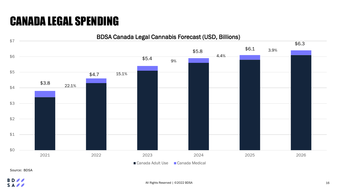### CANADA LEGAL SPENDING



Source: BDSA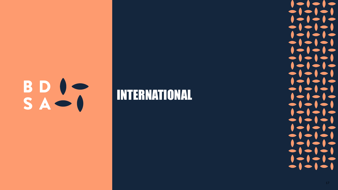

### INTERNATIONAL

 $\bullet$  (

 $\bullet$   $\bullet$ 

 $\bullet$   $\bullet$ 

 $\bullet$   $\bullet$ 

 $\bullet$   $\bullet$ 

 $\bullet\bullet\bullet$ 

 $\blacktriangleright$  (

 $\blacktriangleright$  (

 $\bullet$ 

 $\bullet$ 

 $\blacksquare$ 

 $\bullet$  (

 $\bullet$   $\bullet$ 

 $\bullet$  (

 $\bullet$  (

 $\bullet\bullet\bullet\bullet$ 

 $\bullet$ 

 $\bullet$   $\bullet$ 

 $\blacktriangleright$  (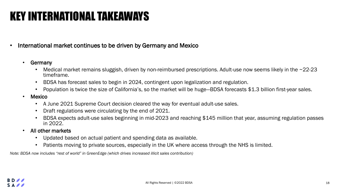### KEY INTERNATIONAL TAKEAWAYS

#### • International market continues to be driven by Germany and Mexico

- Germany
	- Medical market remains sluggish, driven by non-reimbursed prescriptions. Adult-use now seems likely in the ~22-23 timeframe.
	- BDSA has forecast sales to begin in 2024, contingent upon legalization and regulation.
	- Population is twice the size of California's, so the market will be huge—BDSA forecasts \$1.3 billion first-year sales.
- Mexico
	- A June 2021 Supreme Court decision cleared the way for eventual adult-use sales.
	- Draft regulations were circulating by the end of 2021.
	- BDSA expects adult-use sales beginning in mid-2023 and reaching \$145 million that year, assuming regulation passes in 2022.
- All other markets
	- Updated based on actual patient and spending data as available.
	- Patients moving to private sources, especially in the UK where access through the NHS is limited.

*Note: BDSA now includes "rest of world" in GreenEdge (which drives increased illicit sales contribution)*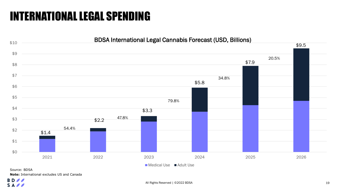### INTERNATIONAL LEGAL SPENDING



**Note:** International excludes US and Canada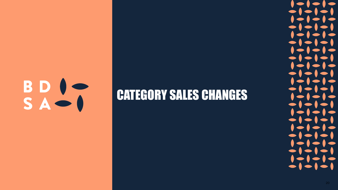

### CATEGORY SALES CHANGES

20

 $\bullet$  (

 $\bullet$  (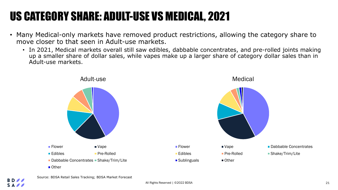## US CATEGORY SHARE: ADULT-USE VS MEDICAL, 2021

- Many Medical-only markets have removed product restrictions, allowing the category share to move closer to that seen in Adult-use markets.
	- In 2021, Medical markets overall still saw edibles, dabbable concentrates, and pre-rolled joints making up a smaller share of dollar sales, while vapes make up a larger share of category dollar sales than in Adult-use markets.



Source: BDSA Retail Sales Tracking; BDSA Market Forecast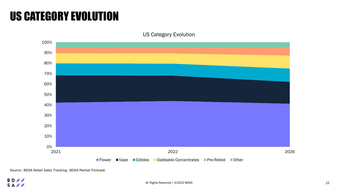### US CATEGORY EVOLUTION

US Category Evolution



Source: BDSA Retail Sales Tracking; BDSA Market Forecast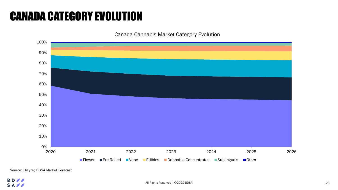### CANADA CATEGORY EVOLUTION

Canada Cannabis Market Category Evolution



Source: HiFyre; BDSA Market Forecast